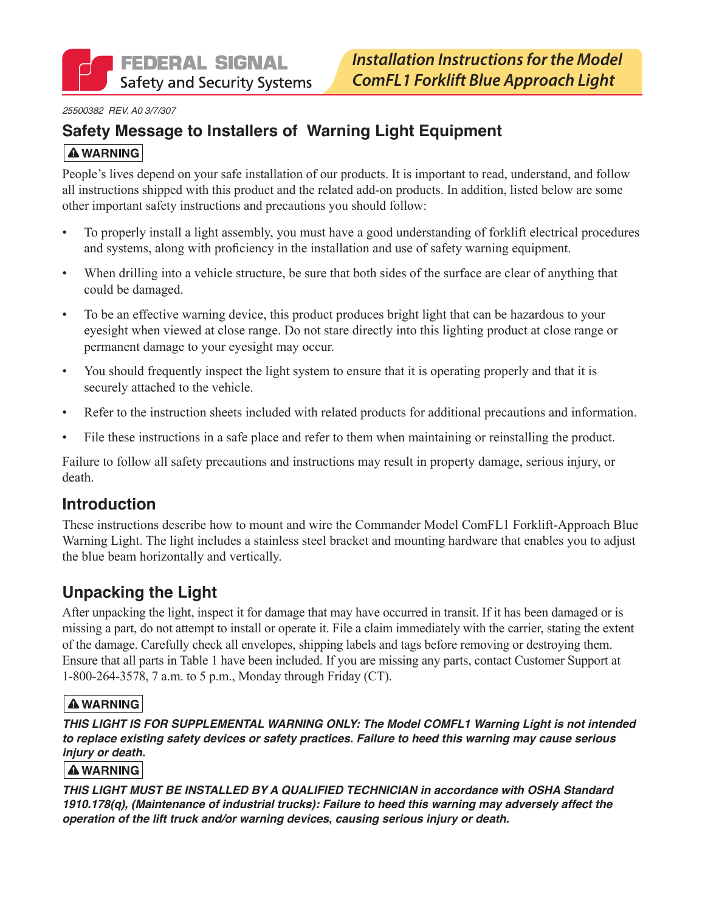*25500382 REV. A0 3/7/307*

## **Safety Message to Installers of Warning Light Equipment A WARNING**

People's lives depend on your safe installation of our products. It is important to read, understand, and follow all instructions shipped with this product and the related add-on products. In addition, listed below are some other important safety instructions and precautions you should follow:

- To properly install a light assembly, you must have a good understanding of forklift electrical procedures and systems, along with proficiency in the installation and use of safety warning equipment.
- When drilling into a vehicle structure, be sure that both sides of the surface are clear of anything that could be damaged.
- To be an effective warning device, this product produces bright light that can be hazardous to your eyesight when viewed at close range. Do not stare directly into this lighting product at close range or permanent damage to your eyesight may occur.
- You should frequently inspect the light system to ensure that it is operating properly and that it is securely attached to the vehicle.
- Refer to the instruction sheets included with related products for additional precautions and information.
- File these instructions in a safe place and refer to them when maintaining or reinstalling the product.

Failure to follow all safety precautions and instructions may result in property damage, serious injury, or death.

## **Introduction**

These instructions describe how to mount and wire the Commander Model ComFL1 Forklift-Approach Blue Warning Light. The light includes a stainless steel bracket and mounting hardware that enables you to adjust the blue beam horizontally and vertically.

# **Unpacking the Light**

After unpacking the light, inspect it for damage that may have occurred in transit. If it has been damaged or is missing a part, do not attempt to install or operate it. File a claim immediately with the carrier, stating the extent of the damage. Carefully check all envelopes, shipping labels and tags before removing or destroying them. Ensure that all parts in Table 1 have been included. If you are missing any parts, contact Customer Support at 1-800-264-3578, 7 a.m. to 5 p.m., Monday through Friday (CT).

### **A WARNING**

*THIS LIGHT IS FOR SUPPLEMENTAL WARNING ONLY: The Model COMFL1 Warning Light is not intended to replace existing safety devices or safety practices. Failure to heed this warning may cause serious injury or death.* 

#### **A WARNING**

*THIS LIGHT MUST BE INSTALLED BY A QUALIFIED TECHNICIAN in accordance with OSHA Standard 1910.178(q), (Maintenance of industrial trucks): Failure to heed this warning may adversely affect the operation of the lift truck and/or warning devices, causing serious injury or death.*